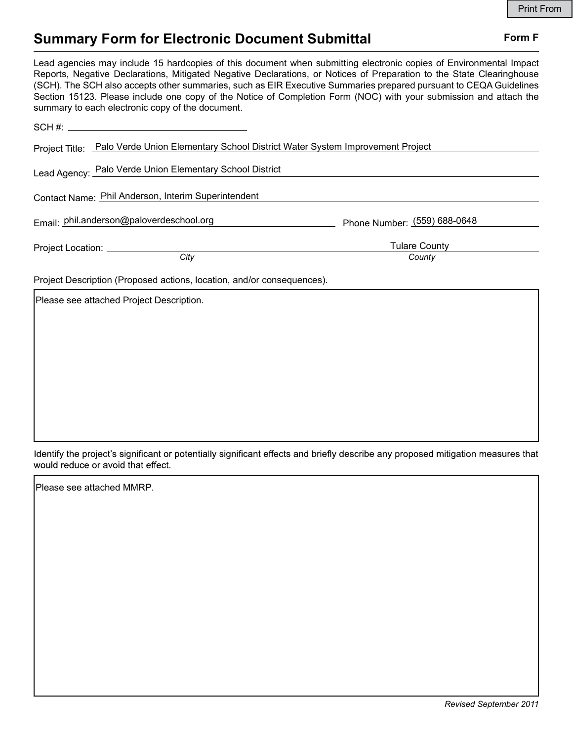# Summary Form for Electronic Document Submittal Form F

|                                                                                                                                                                                                                                                                                                                                                                                                                                                                                                                                           |                                | <b>Print From</b> |
|-------------------------------------------------------------------------------------------------------------------------------------------------------------------------------------------------------------------------------------------------------------------------------------------------------------------------------------------------------------------------------------------------------------------------------------------------------------------------------------------------------------------------------------------|--------------------------------|-------------------|
| <b>Summary Form for Electronic Document Submittal</b>                                                                                                                                                                                                                                                                                                                                                                                                                                                                                     |                                | Form F            |
| Lead agencies may include 15 hardcopies of this document when submitting electronic copies of Environmental Impact<br>Reports, Negative Declarations, Mitigated Negative Declarations, or Notices of Preparation to the State Clearinghouse<br>(SCH). The SCH also accepts other summaries, such as EIR Executive Summaries prepared pursuant to CEQA Guidelines<br>Section 15123. Please include one copy of the Notice of Completion Form (NOC) with your submission and attach the<br>summary to each electronic copy of the document. |                                |                   |
| $SCH \#:$                                                                                                                                                                                                                                                                                                                                                                                                                                                                                                                                 |                                |                   |
| Project Title: Palo Verde Union Elementary School District Water System Improvement Project                                                                                                                                                                                                                                                                                                                                                                                                                                               |                                |                   |
| Lead Agency: Palo Verde Union Elementary School District                                                                                                                                                                                                                                                                                                                                                                                                                                                                                  |                                |                   |
| Contact Name: Phil Anderson, Interim Superintendent                                                                                                                                                                                                                                                                                                                                                                                                                                                                                       |                                |                   |
| Email: phil.anderson@paloverdeschool.org<br>Phone Number: (559) 688-0648                                                                                                                                                                                                                                                                                                                                                                                                                                                                  |                                |                   |
| Project Location: ______________<br>$\overline{City}$                                                                                                                                                                                                                                                                                                                                                                                                                                                                                     | <b>Tulare County</b><br>County |                   |
|                                                                                                                                                                                                                                                                                                                                                                                                                                                                                                                                           |                                |                   |

Identify the project's significant or potentially significant effects and briefly describe any proposed mitigation measures that would reduce or avoid that effect.

Please see attached MMRP.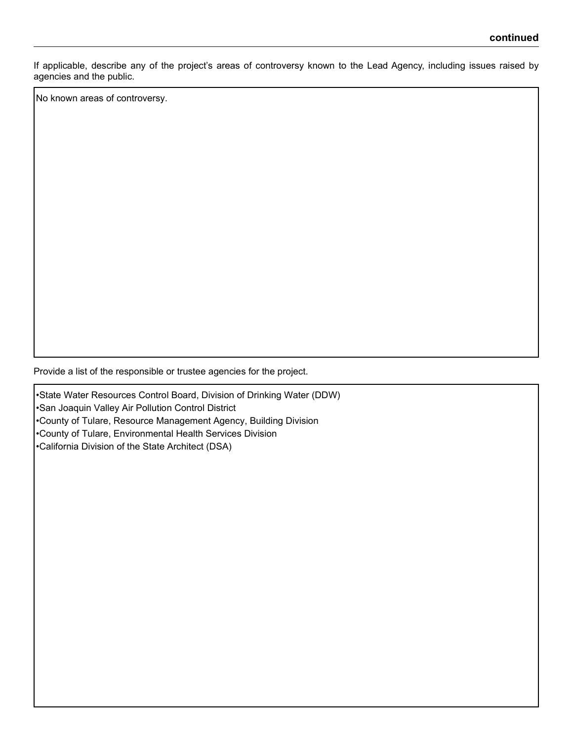If applicable, describe any of the project's areas of controversy known to the Lead Agency, including issues raised by agencies and the public.

No known areas of controversy.

Provide a list of the responsible or trustee agencies for the project.

•State Water Resources Control Board, Division of Drinking Water (DDW) •San Joaquin Valley Air Pollution Control District •County of Tulare, Resource Management Agency, Building Division •County of Tulare, Environmental Health Services Division •California Division of the State Architect (DSA)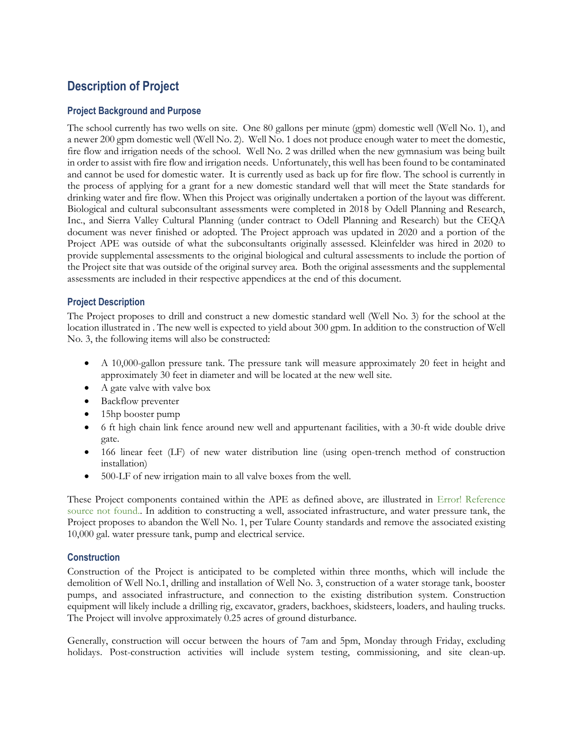# **Description of Project**

### **Project Background and Purpose**

The school currently has two wells on site. One 80 gallons per minute (gpm) domestic well (Well No. 1), and a newer 200 gpm domestic well (Well No. 2). Well No. 1 does not produce enough water to meet the domestic, fire flow and irrigation needs of the school. Well No. 2 was drilled when the new gymnasium was being built in order to assist with fire flow and irrigation needs. Unfortunately, this well has been found to be contaminated and cannot be used for domestic water. It is currently used as back up for fire flow. The school is currently in the process of applying for a grant for a new domestic standard well that will meet the State standards for drinking water and fire flow. When this Project was originally undertaken a portion of the layout was different. Biological and cultural subconsultant assessments were completed in 2018 by Odell Planning and Research, Inc., and Sierra Valley Cultural Planning (under contract to Odell Planning and Research) but the CEQA document was never finished or adopted. The Project approach was updated in 2020 and a portion of the Project APE was outside of what the subconsultants originally assessed. Kleinfelder was hired in 2020 to provide supplemental assessments to the original biological and cultural assessments to include the portion of the Project site that was outside of the original survey area. Both the original assessments and the supplemental assessments are included in their respective appendices at the end of this document.

#### **Project Description**

The Project proposes to drill and construct a new domestic standard well (Well No. 3) for the school at the location illustrated in . The new well is expected to yield about 300 gpm. In addition to the construction of Well No. 3, the following items will also be constructed:

- A 10,000-gallon pressure tank. The pressure tank will measure approximately 20 feet in height and approximately 30 feet in diameter and will be located at the new well site.
- A gate valve with valve box
- Backflow preventer
- 15hp booster pump
- 6 ft high chain link fence around new well and appurtenant facilities, with a 30-ft wide double drive gate.
- 166 linear feet (LF) of new water distribution line (using open-trench method of construction installation)
- 500-LF of new irrigation main to all valve boxes from the well.

These Project components contained within the APE as defined above, are illustrated in Error! Reference source not found.. In addition to constructing a well, associated infrastructure, and water pressure tank, the Project proposes to abandon the Well No. 1, per Tulare County standards and remove the associated existing 10,000 gal. water pressure tank, pump and electrical service.

#### **Construction**

Construction of the Project is anticipated to be completed within three months, which will include the demolition of Well No.1, drilling and installation of Well No. 3, construction of a water storage tank, booster pumps, and associated infrastructure, and connection to the existing distribution system. Construction equipment will likely include a drilling rig, excavator, graders, backhoes, skidsteers, loaders, and hauling trucks. The Project will involve approximately 0.25 acres of ground disturbance.

Generally, construction will occur between the hours of 7am and 5pm, Monday through Friday, excluding holidays. Post-construction activities will include system testing, commissioning, and site clean-up.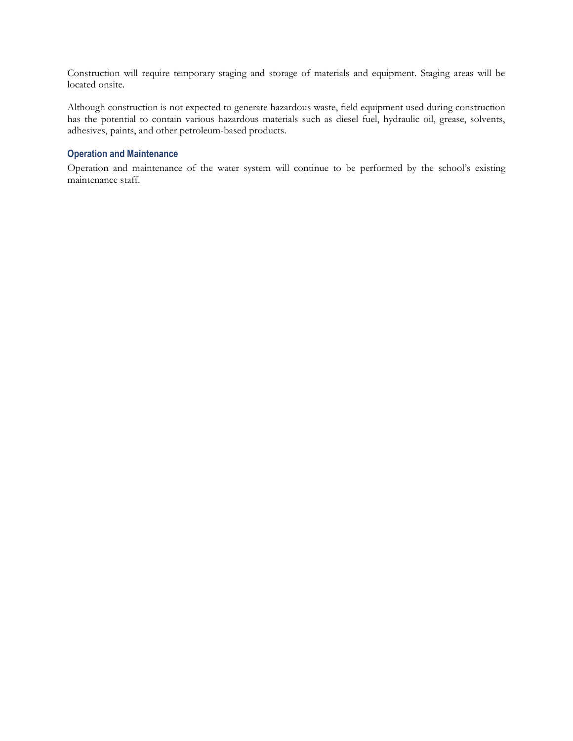Construction will require temporary staging and storage of materials and equipment. Staging areas will be located onsite.

Although construction is not expected to generate hazardous waste, field equipment used during construction has the potential to contain various hazardous materials such as diesel fuel, hydraulic oil, grease, solvents, adhesives, paints, and other petroleum-based products.

#### **Operation and Maintenance**

Operation and maintenance of the water system will continue to be performed by the school's existing maintenance staff.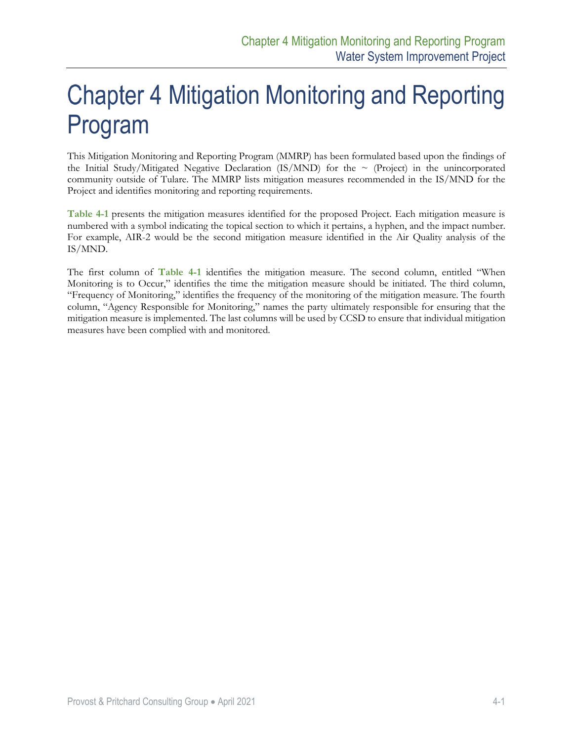# **Chapter 4 Mitigation Monitoring and Reporting** Program

This Mitigation Monitoring and Reporting Program (MMRP) has been formulated based upon the findings of the Initial Study/Mitigated Negative Declaration (IS/MND) for the  $\sim$  (Project) in the unincorporated community outside of Tulare. The MMRP lists mitigation measures recommended in the IS/MND for the Project and identifies monitoring and reporting requirements.

**[Table 4-1](#page-5-0)** presents the mitigation measures identified for the proposed Project. Each mitigation measure is numbered with a symbol indicating the topical section to which it pertains, a hyphen, and the impact number. For example, AIR-2 would be the second mitigation measure identified in the Air Quality analysis of the IS/MND.

The first column of **[Table 4-1](#page-5-0)** identifies the mitigation measure. The second column, entitled "When Monitoring is to Occur," identifies the time the mitigation measure should be initiated. The third column, "Frequency of Monitoring," identifies the frequency of the monitoring of the mitigation measure. The fourth column, "Agency Responsible for Monitoring," names the party ultimately responsible for ensuring that the mitigation measure is implemented. The last columns will be used by CCSD to ensure that individual mitigation measures have been complied with and monitored.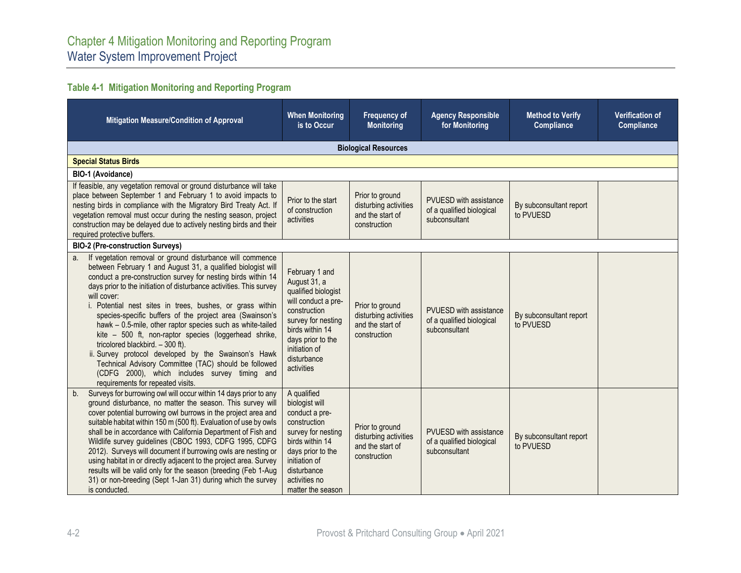# **Table 4-1 Mitigation Monitoring and Reporting Program**

<span id="page-5-0"></span>

| Mitigation Measure/Condition of Approval                                                                                                                                                                                                                                                                                                                                                                                                                                                                                                                                                                                                                                                                                                                                          | <b>When Monitoring</b><br>is to Occur                                                                                                                                                                    | <b>Frequency of</b><br><b>Monitoring</b>                                     | <b>Agency Responsible</b><br>for Monitoring                                 | <b>Method to Verify</b><br><b>Compliance</b> | <b>Verification of</b><br><b>Compliance</b> |  |
|-----------------------------------------------------------------------------------------------------------------------------------------------------------------------------------------------------------------------------------------------------------------------------------------------------------------------------------------------------------------------------------------------------------------------------------------------------------------------------------------------------------------------------------------------------------------------------------------------------------------------------------------------------------------------------------------------------------------------------------------------------------------------------------|----------------------------------------------------------------------------------------------------------------------------------------------------------------------------------------------------------|------------------------------------------------------------------------------|-----------------------------------------------------------------------------|----------------------------------------------|---------------------------------------------|--|
| <b>Biological Resources</b>                                                                                                                                                                                                                                                                                                                                                                                                                                                                                                                                                                                                                                                                                                                                                       |                                                                                                                                                                                                          |                                                                              |                                                                             |                                              |                                             |  |
| <b>Special Status Birds</b>                                                                                                                                                                                                                                                                                                                                                                                                                                                                                                                                                                                                                                                                                                                                                       |                                                                                                                                                                                                          |                                                                              |                                                                             |                                              |                                             |  |
| BIO-1 (Avoidance)                                                                                                                                                                                                                                                                                                                                                                                                                                                                                                                                                                                                                                                                                                                                                                 |                                                                                                                                                                                                          |                                                                              |                                                                             |                                              |                                             |  |
| If feasible, any vegetation removal or ground disturbance will take<br>place between September 1 and February 1 to avoid impacts to<br>nesting birds in compliance with the Migratory Bird Treaty Act. If<br>vegetation removal must occur during the nesting season, project<br>construction may be delayed due to actively nesting birds and their<br>required protective buffers.                                                                                                                                                                                                                                                                                                                                                                                              | Prior to the start<br>of construction<br>activities                                                                                                                                                      | Prior to ground<br>disturbing activities<br>and the start of<br>construction | <b>PVUESD with assistance</b><br>of a qualified biological<br>subconsultant | By subconsultant report<br>to PVUESD         |                                             |  |
| <b>BIO-2 (Pre-construction Surveys)</b>                                                                                                                                                                                                                                                                                                                                                                                                                                                                                                                                                                                                                                                                                                                                           |                                                                                                                                                                                                          |                                                                              |                                                                             |                                              |                                             |  |
| If vegetation removal or ground disturbance will commence<br>a.<br>between February 1 and August 31, a qualified biologist will<br>conduct a pre-construction survey for nesting birds within 14<br>days prior to the initiation of disturbance activities. This survey<br>will cover:<br>i. Potential nest sites in trees, bushes, or grass within<br>species-specific buffers of the project area (Swainson's<br>hawk - 0.5-mile, other raptor species such as white-tailed<br>kite - 500 ft, non-raptor species (loggerhead shrike,<br>tricolored blackbird. - 300 ft).<br>ii. Survey protocol developed by the Swainson's Hawk<br>Technical Advisory Committee (TAC) should be followed<br>(CDFG 2000), which includes survey timing and<br>requirements for repeated visits. | February 1 and<br>August 31, a<br>qualified biologist<br>will conduct a pre-<br>construction<br>survey for nesting<br>birds within 14<br>days prior to the<br>initiation of<br>disturbance<br>activities | Prior to ground<br>disturbing activities<br>and the start of<br>construction | PVUESD with assistance<br>of a qualified biological<br>subconsultant        | By subconsultant report<br>to PVUESD         |                                             |  |
| Surveys for burrowing owl will occur within 14 days prior to any<br>b.<br>ground disturbance, no matter the season. This survey will<br>cover potential burrowing owl burrows in the project area and<br>suitable habitat within 150 m (500 ft). Evaluation of use by owls<br>shall be in accordance with California Department of Fish and<br>Wildlife survey guidelines (CBOC 1993, CDFG 1995, CDFG<br>2012). Surveys will document if burrowing owls are nesting or<br>using habitat in or directly adjacent to the project area. Survey<br>results will be valid only for the season (breeding (Feb 1-Aug<br>31) or non-breeding (Sept 1-Jan 31) during which the survey<br>is conducted.                                                                                     | A qualified<br>biologist will<br>conduct a pre-<br>construction<br>survey for nesting<br>birds within 14<br>days prior to the<br>initiation of<br>disturbance<br>activities no<br>matter the season      | Prior to ground<br>disturbing activities<br>and the start of<br>construction | PVUESD with assistance<br>of a qualified biological<br>subconsultant        | By subconsultant report<br>to PVUESD         |                                             |  |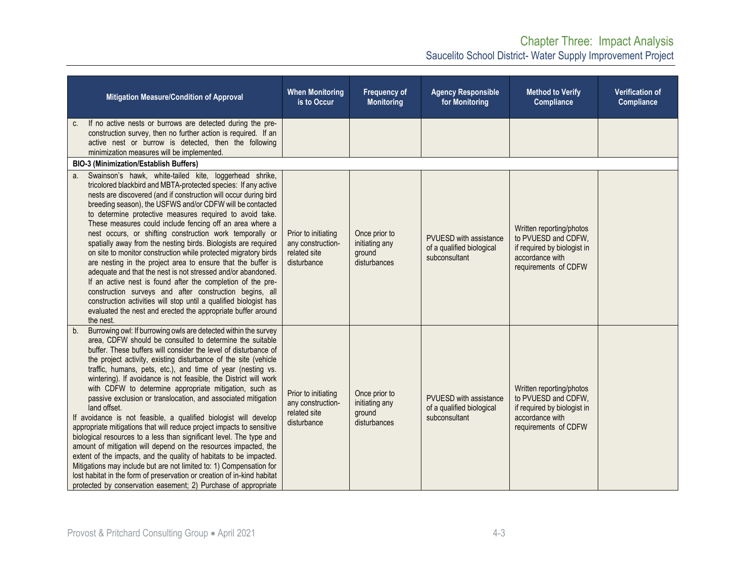# Chapter Three: Impact Analysis Saucelito School District- Water Supply Improvement Project

| Mitigation Measure/Condition of Approval                                                                                                                                                                                                                                                                                                                                                                                                                                                                                                                                                                                                                                                                                                                                                                                                                                                                                                                                                                                                                                                                                                           | <b>When Monitoring</b><br>is to Occur                                   | Frequency of<br><b>Monitoring</b>                         | <b>Agency Responsible</b><br>for Monitoring                          | <b>Method to Verify</b><br><b>Compliance</b>                                                                              | Verification of<br><b>Compliance</b> |
|----------------------------------------------------------------------------------------------------------------------------------------------------------------------------------------------------------------------------------------------------------------------------------------------------------------------------------------------------------------------------------------------------------------------------------------------------------------------------------------------------------------------------------------------------------------------------------------------------------------------------------------------------------------------------------------------------------------------------------------------------------------------------------------------------------------------------------------------------------------------------------------------------------------------------------------------------------------------------------------------------------------------------------------------------------------------------------------------------------------------------------------------------|-------------------------------------------------------------------------|-----------------------------------------------------------|----------------------------------------------------------------------|---------------------------------------------------------------------------------------------------------------------------|--------------------------------------|
| If no active nests or burrows are detected during the pre-<br>C.<br>construction survey, then no further action is required. If an<br>active nest or burrow is detected, then the following<br>minimization measures will be implemented.                                                                                                                                                                                                                                                                                                                                                                                                                                                                                                                                                                                                                                                                                                                                                                                                                                                                                                          |                                                                         |                                                           |                                                                      |                                                                                                                           |                                      |
| <b>BIO-3 (Minimization/Establish Buffers)</b>                                                                                                                                                                                                                                                                                                                                                                                                                                                                                                                                                                                                                                                                                                                                                                                                                                                                                                                                                                                                                                                                                                      |                                                                         |                                                           |                                                                      |                                                                                                                           |                                      |
| Swainson's hawk, white-tailed kite, loggerhead shrike,<br>a.<br>tricolored blackbird and MBTA-protected species: If any active<br>nests are discovered (and if construction will occur during bird<br>breeding season), the USFWS and/or CDFW will be contacted<br>to determine protective measures required to avoid take.<br>These measures could include fencing off an area where a<br>nest occurs, or shifting construction work temporally or<br>spatially away from the nesting birds. Biologists are required<br>on site to monitor construction while protected migratory birds<br>are nesting in the project area to ensure that the buffer is<br>adequate and that the nest is not stressed and/or abandoned.<br>If an active nest is found after the completion of the pre-<br>construction surveys and after construction begins, all<br>construction activities will stop until a qualified biologist has<br>evaluated the nest and erected the appropriate buffer around<br>the nest.                                                                                                                                               | Prior to initiating<br>any construction-<br>related site<br>disturbance | Once prior to<br>initiating any<br>ground<br>disturbances | PVUESD with assistance<br>of a qualified biological<br>subconsultant | Written reporting/photos<br>to PVUESD and CDFW.<br>if required by biologist in<br>accordance with<br>requirements of CDFW |                                      |
| Burrowing owl: If burrowing owls are detected within the survey<br>b <sub>1</sub><br>area, CDFW should be consulted to determine the suitable<br>buffer. These buffers will consider the level of disturbance of<br>the project activity, existing disturbance of the site (vehicle<br>traffic, humans, pets, etc.), and time of year (nesting vs.<br>wintering). If avoidance is not feasible, the District will work<br>with CDFW to determine appropriate mitigation, such as<br>passive exclusion or translocation, and associated mitigation<br>land offset.<br>If avoidance is not feasible, a qualified biologist will develop<br>appropriate mitigations that will reduce project impacts to sensitive<br>biological resources to a less than significant level. The type and<br>amount of mitigation will depend on the resources impacted, the<br>extent of the impacts, and the quality of habitats to be impacted.<br>Mitigations may include but are not limited to: 1) Compensation for<br>lost habitat in the form of preservation or creation of in-kind habitat<br>protected by conservation easement; 2) Purchase of appropriate | Prior to initiating<br>any construction-<br>related site<br>disturbance | Once prior to<br>initiating any<br>ground<br>disturbances | PVUESD with assistance<br>of a qualified biological<br>subconsultant | Written reporting/photos<br>to PVUESD and CDFW.<br>if required by biologist in<br>accordance with<br>requirements of CDFW |                                      |